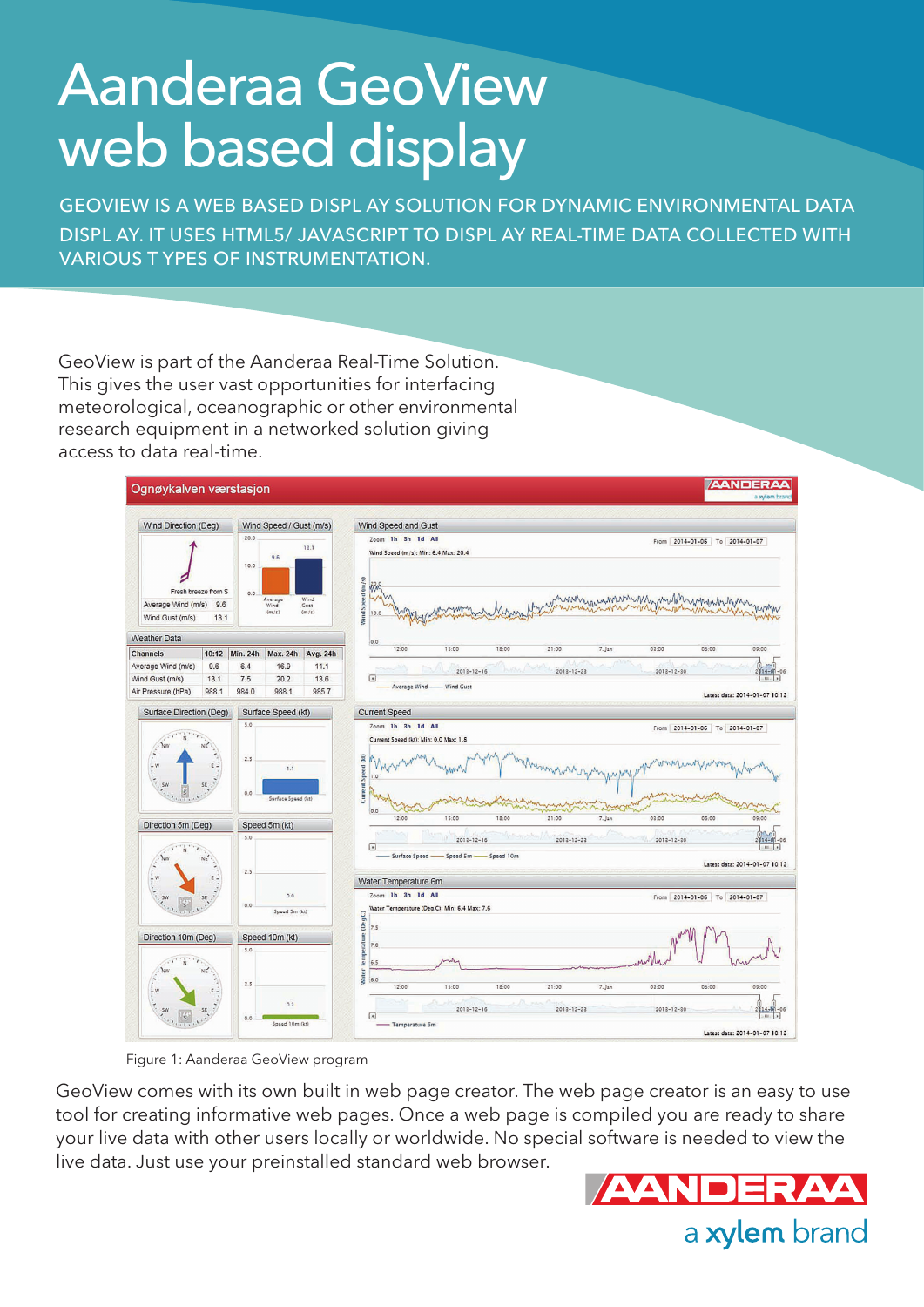# Aanderaa GeoView web based display

GEOVIEW IS A WEB BASED DISPL AY SOLUTION FOR DYNAMIC ENVIRONMENTAL DATA DISPL AY. IT USES HTML5/ JAVASCRIPT TO DISPL AY REAL-TIME DATA COLLECTED WITH VARIOUS T YPES OF INSTRUMENTATION.

GeoView is part of the Aanderaa Real-Time Solution. This gives the user vast opportunities for interfacing meteorological, oceanographic or other environmental research equipment in a networked solution giving access to data real-time.



Figure 1: Aanderaa GeoView program

GeoView comes with its own built in web page creator. The web page creator is an easy to use tool for creating informative web pages. Once a web page is compiled you are ready to share your live data with other users locally or worldwide. No special software is needed to view the live data. Just use your preinstalled standard web browser.

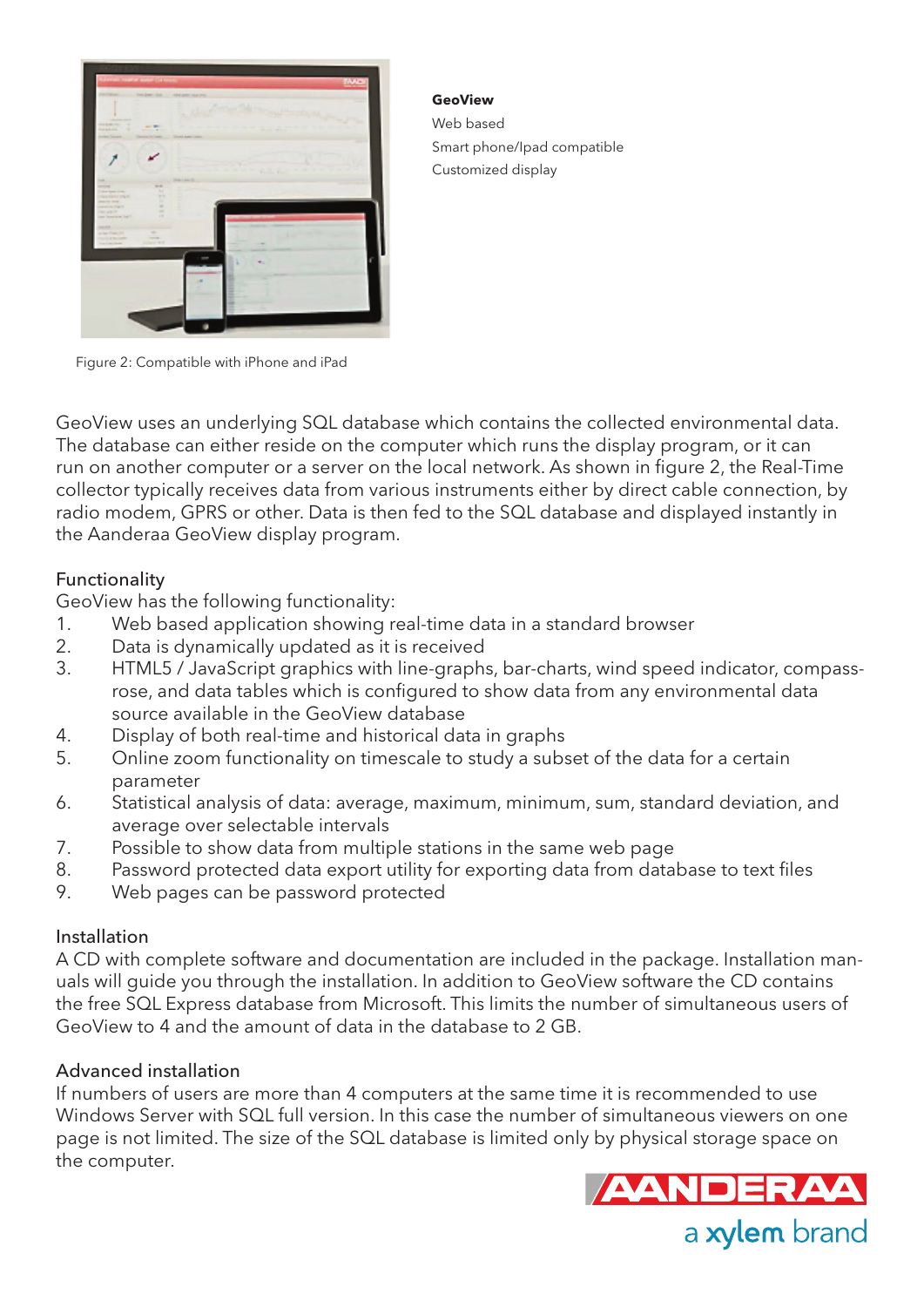

**GeoView** Web based Smart phone/Ipad compatible Customized display

Figure 2: Compatible with iPhone and iPad

GeoView uses an underlying SQL database which contains the collected environmental data. The database can either reside on the computer which runs the display program, or it can run on another computer or a server on the local network. As shown in figure 2, the Real-Time collector typically receives data from various instruments either by direct cable connection, by radio modem, GPRS or other. Data is then fed to the SQL database and displayed instantly in the Aanderaa GeoView display program.

#### Functionality

GeoView has the following functionality:

- 1. Web based application showing real-time data in a standard browser
- 2. Data is dynamically updated as it is received
- 3. HTML5 / JavaScript graphics with line-graphs, bar-charts, wind speed indicator, compassrose, and data tables which is configured to show data from any environmental data source available in the GeoView database
- 4. Display of both real-time and historical data in graphs
- 5. Online zoom functionality on timescale to study a subset of the data for a certain parameter
- 6. Statistical analysis of data: average, maximum, minimum, sum, standard deviation, and average over selectable intervals
- 7. Possible to show data from multiple stations in the same web page
- 8. Password protected data export utility for exporting data from database to text files
- 9. Web pages can be password protected

### Installation

A CD with complete software and documentation are included in the package. Installation manuals will guide you through the installation. In addition to GeoView software the CD contains the free SQL Express database from Microsoft. This limits the number of simultaneous users of GeoView to 4 and the amount of data in the database to 2 GB.

### Advanced installation

If numbers of users are more than 4 computers at the same time it is recommended to use Windows Server with SQL full version. In this case the number of simultaneous viewers on one page is not limited. The size of the SQL database is limited only by physical storage space on the computer.